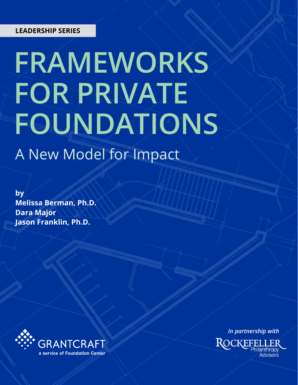### **LEADERSHIP SERIES**

# **FRAMEWORKS FOR PRIVATE FOUNDATIONS**

A New Model for Impact

**by Melissa Berman, Ph.D. Dara Major Jason Franklin, Ph.D.**



*In partnership with*

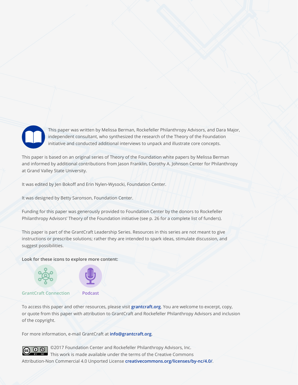This paper was written by Melissa Berman, Rockefeller Philanthropy Advisors, and Dara Major, independent consultant, who synthesized the research of the Theory of the Foundation initiative and conducted additional interviews to unpack and illustrate core concepts.

This paper is based on an original series of Theory of the Foundation white papers by Melissa Berman and informed by additional contributions from Jason Franklin, Dorothy A. Johnson Center for Philanthropy at Grand Valley State University.

It was edited by Jen Bokoff and Erin Nylen-Wysocki, Foundation Center.

It was designed by Betty Saronson, Foundation Center.

Funding for this paper was generously provided to Foundation Center by the donors to Rockefeller Philanthropy Advisors' Theory of the Foundation initiative (see p. 26 for a complete list of funders).

This paper is part of the GrantCraft Leadership Series. Resources in this series are not meant to give instructions or prescribe solutions; rather they are intended to spark ideas, stimulate discussion, and suggest possibilities.

**Look for these icons to explore more content:**





**GrantCraft Connection Podcast**

To access this paper and other resources, please visit **[grantcraft.org](http://grantcraft.org)**. You are welcome to excerpt, copy, or quote from this paper with attribution to GrantCraft and Rockefeller Philanthropy Advisors and inclusion of the copyright.

For more information, e-mail GrantCraft at **[info@grantcraft.org](mailto:info%40grantcraft.org?subject=)**.

 $\odot$   $\circledcirc$ 

©2017 Foundation Center and Rockefeller Philanthropy Advisors, Inc. This work is made available under the terms of the Creative Commons Attribution-Non Commercial 4.0 Unported License **[creativecommons.org/licenses/by-nc/4.0/](https://creativecommons.org/licenses/by-nc/4.0/)**.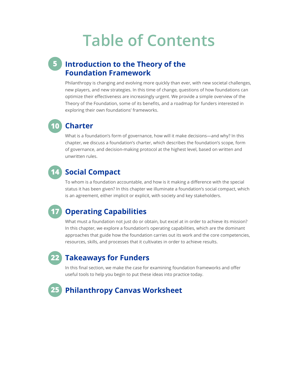## **Table of Contents**

#### **[Introduction to the Theory of the](#page-4-0)  Foundation Framework 5**

Philanthropy is changing and evolving more quickly than ever, with new societal challenges, new players, and new strategies. In this time of change, questions of how foundations can optimize their effectiveness are increasingly urgent. We provide a simple overview of the Theory of the Foundation, some of its benefits, and a roadmap for funders interested in exploring their own foundations' frameworks.

#### **[Charter](#page-9-0) 10**

What is a foundation's form of governance, how will it make decisions—and why? In this chapter, we discuss a foundation's charter, which describes the foundation's scope, form of governance, and decision-making protocol at the highest level, based on written and unwritten rules.

#### **[Social Compact](#page-12-0) 14**

To whom is a foundation accountable, and how is it making a difference with the special status it has been given? In this chapter we illuminate a foundation's social compact, which is an agreement, either implicit or explicit, with society and key stakeholders.

#### **[Operating Capabilities](#page-15-0) 17**

What must a foundation not just do or obtain, but excel at in order to achieve its mission? In this chapter, we explore a foundation's operating capabilities, which are the dominant approaches that guide how the foundation carries out its work and the core competencies, resources, skills, and processes that it cultivates in order to achieve results.

### **22**

### **[Takeaways for Funders](#page-20-0)**

In this final section, we make the case for examining foundation frameworks and offer useful tools to help you begin to put these ideas into practice today.

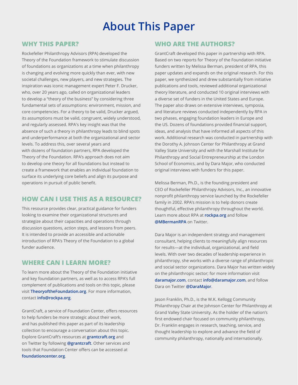### **About This Paper**

### **WHY THIS PAPER?**

Rockefeller Philanthropy Advisors (RPA) developed the Theory of the Foundation framework to stimulate discussion of foundations as organizations at a time when philanthropy is changing and evolving more quickly than ever, with new societal challenges, new players, and new strategies. The inspiration was iconic management expert Peter F. Drucker, who, over 20 years ago, called on organizational leaders to develop a "theory of the business" by considering three fundamental sets of assumptions: environment, mission, and core competencies. For a theory to be valid, Drucker argued, its assumptions must be valid, congruent, widely understood, and regularly assessed. RPA's key insight was that the absence of such a theory in philanthropy leads to blind spots and underperformance at both the organizational and sector levels. To address this, over several years and with dozens of foundation partners, RPA developed the Theory of the Foundation. RPA's approach does not aim to develop one theory for all foundations but instead to create a framework that enables an individual foundation to surface its underlying core beliefs and align its purpose and operations in pursuit of public benefit.

### **HOW CAN I USE THIS AS A RESOURCE?**

This resource provides clear, practical guidance for funders looking to examine their organizational structures and strategize about their capacities and operations through discussion questions, action steps, and lessons from peers. It is intended to provide an accessible and actionable introduction of RPA's Theory of the Foundation to a global funder audience.

### **WHERE CAN I LEARN MORE?**

To learn more about the Theory of the Foundation initiative and key foundation partners, as well as to access RPA's full complement of publications and tools on this topic, please visit **[TheoryoftheFoundation.org](http://TheoryoftheFoundation.org)**. For more information, contact **[info@rockpa.org](mailto:info%40rockpa.org?subject=)**.

GrantCraft, a service of Foundation Center, offers resources to help funders be more strategic about their work, and has published this paper as part of its leadership collection to encourage a conversation about this topic. Explore GrantCraft's resources at **[grantcraft.org](http://grantcraft.org)** and on Twitter by following **[@grantcraft](https://twitter.com/GrantCraft)**. Other services and tools that Foundation Center offers can be accessed at **[foundationcenter.org](http://foundationcenter.org)**.

### **WHO ARE THE AUTHORS?**

GrantCraft developed this paper in partnership with RPA. Based on two reports for Theory of the Foundation initiative funders written by Melissa Berman, president of RPA, this paper updates and expands on the original research. For this paper, we synthesized and drew substantially from initiative publications and tools, reviewed additional organizational theory literature, and conducted 10 original interviews with a diverse set of funders in the United States and Europe. The paper also draws on extensive interviews, symposia, and literature reviews conducted independently by RPA in two phases, engaging foundation leaders in Europe and the US. Dozens of foundations provided financial support, ideas, and analysis that have informed all aspects of this work. Additional research was conducted in partnership with the Dorothy A. Johnson Center for Philanthropy at Grand Valley State University and with the Marshall Institute for Philanthropy and Social Entrepreneurship at the London School of Economics, and by Dara Major, who conducted original interviews with funders for this paper.

Melissa Berman, Ph.D., is the founding president and CEO of Rockefeller Philanthropy Advisors, Inc., an innovative nonprofit philanthropy service launched by the Rockefeller family in 2002. RPA's mission is to help donors create thoughtful, effective philanthropy throughout the world. Learn more about RPA at **[rockpa.org](http://rockpa.org)** and follow **[@MBermanRPA](https://twitter.com/MBermanRPA)** on Twitter.

Dara Major is an independent strategy and management consultant, helping clients to meaningfully align resources for results—at the individual, organizational, and field levels. With over two decades of leadership experience in philanthropy, she works with a diverse range of philanthropic and social sector organizations. Dara Major has written widely on the philanthropic sector; for more information visit **[daramajor.com](http://daramajor.com)**, contact **[info@daramajor.com](mailto:info%40daramajor.com?subject=)**, and follow Dara on Twitter **[@](https://twitter.com/DaraMajor)DaraMajor**.

Jason Franklin, Ph.D., is the W.K. Kellogg Community Philanthropy Chair at the Johnson Center for Philanthropy at Grand Valley State University. As the holder of the nation's first endowed chair focused on community philanthropy, Dr. Franklin engages in research, teaching, service, and thought leadership to explore and advance the field of community philanthropy, nationally and internationally.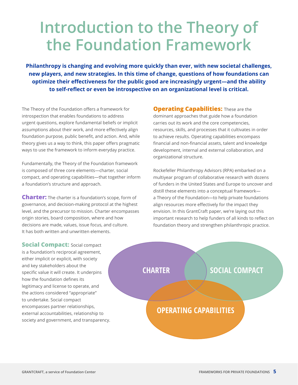## <span id="page-4-0"></span>**Introduction to the Theory of the Foundation Framework**

**Philanthropy is changing and evolving more quickly than ever, with new societal challenges, new players, and new strategies. In this time of change, questions of how foundations can optimize their effectiveness for the public good are increasingly urgent—and the ability to self-reflect or even be introspective on an organizational level is critical.**

The Theory of the Foundation offers a framework for introspection that enables foundations to address urgent questions, explore fundamental beliefs or implicit assumptions about their work, and more effectively align foundation purpose, public benefit, and action. And, while theory gives us a way to think, this paper offers pragmatic ways to use the framework to inform everyday practice.

Fundamentally, the Theory of the Foundation framework is composed of three core elements—charter, social compact, and operating capabilities—that together inform a foundation's structure and approach.

**Charter:** The charter is a foundation's scope, form of governance, and decision-making protocol at the highest level, and the precursor to mission. Charter encompasses origin stories, board composition, where and how decisions are made, values, issue focus, and culture. It has both written and unwritten elements.

**Operating Capabilities: These are the** dominant approaches that guide how a foundation carries out its work and the core competencies, resources, skills, and processes that it cultivates in order to achieve results. Operating capabilities encompass financial and non-financial assets, talent and knowledge development, internal and external collaboration, and organizational structure.

Rockefeller Philanthropy Advisors (RPA) embarked on a multiyear program of collaborative research with dozens of funders in the United States and Europe to uncover and distill these elements into a conceptual framework a Theory of the Foundation—to help private foundations align resources more effectively for the impact they envision. In this GrantCraft paper, we're laying out this important research to help funders of all kinds to reflect on foundation theory and strengthen philanthropic practice.

**Social Compact:** Social compact is a foundation's reciprocal agreement, either implicit or explicit, with society and key stakeholders about the specific value it will create. It underpins how the foundation defines its legitimacy and license to operate, and the actions considered "appropriate" to undertake. Social compact encompasses partner relationships, external accountabilities, relationship to society and government, and transparency.

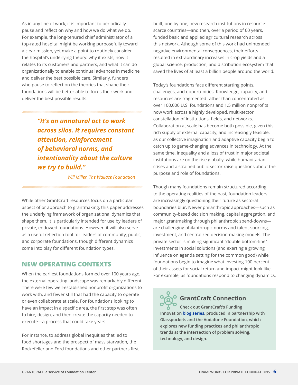As in any line of work, it is important to periodically pause and reflect on why and how we do what we do. For example, the long-tenured chief administrator of a top-rated hospital might be working purposefully toward a clear mission, yet make a point to routinely consider the hospital's underlying theory: why it exists, how it relates to its customers and partners, and what it can do organizationally to enable continual advances in medicine and deliver the best possible care. Similarly, funders who pause to reflect on the theories that shape their foundations will be better able to focus their work and deliver the best possible results.

> *"It's an unnatural act to work across silos. It requires constant attention, reinforcement of behavioral norms, and intentionality about the culture we try to build."*

> > *Will Miller, The Wallace Foundation*

While other GrantCraft resources focus on a particular aspect of or approach to grantmaking, this paper addresses the underlying framework of organizational dynamics that shape them. It is particularly intended for use by leaders of private, endowed foundations. However, it will also serve as a useful reflection tool for leaders of community, public, and corporate foundations, though different dynamics come into play for different foundation types.

### **NEW OPERATING CONTEXTS**

When the earliest foundations formed over 100 years ago, the external operating landscape was remarkably different. There were few well-established nonprofit organizations to work with, and fewer still that had the capacity to operate or even collaborate at scale. For foundations looking to have an impact in a specific area, the first step was often to hire, design, and then create the capacity needed to execute—a process that could take years.

For instance, to address global inequities that led to food shortages and the prospect of mass starvation, the Rockefeller and Ford foundations and other partners first built, one by one, new research institutions in resourcescarce countries—and then, over a period of 60 years, funded basic and applied agricultural research across this network. Athough some of this work had unintended negative environmental consequences, their efforts resulted in extraordinary increases in crop yields and a global science, production, and distribution ecosystem that saved the lives of at least a billion people around the world.

Today's foundations face different starting points, challenges, and opportunities. Knowledge, capacity, and resources are fragmented rather than concentrated as over 100,000 U.S. foundations and 1.5 million nonprofits now work across a highly developed, multi-sector constellation of institutions, fields, and networks. Collaboration at scale has become both possible, given this rich supply of external capacity, and increasingly feasible, as our collective imagination and adaptive capacity begin to catch up to game-changing advances in technology. At the same time, inequality and a loss of trust in major societal institutions are on the rise globally, while humanitarian crises and a strained public sector raise questions about the purpose and role of foundations.

Though many foundations remain structured according to the operating realities of the past, foundation leaders are increasingly questioning their future as sectoral boundaries blur. Newer philanthropic approaches—such as community-based decision making, capital aggregation, and major grantmaking through philanthropic spend-downs are challenging philanthropic norms and talent-sourcing, investment, and centralized decision-making models. The private sector is making significant "double bottom-line" investments in social solutions (and exerting a growing influence on agenda setting for the common good) while foundations begin to imagine what investing 100 percent of their assets for social return and impact might look like. For example, as foundations respond to changing dynamics,

### **GrantCraft Connection**

 **Check out GrantCraft's [Funding](http://www.grantcraft.org/content-series/funding-innovation)  [Innovation blog series,](http://www.grantcraft.org/content-series/funding-innovation) produced in partnership with Glasspockets and the Vodafone Foundation, which explores new funding practices and philanthropic trends at the intersection of problem solving, technology, and design.**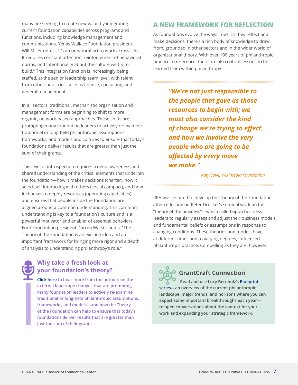many are seeking to create new value by integrating current foundation capabilities across programs and functions, including knowledge management and communications. Yet as Wallace Foundation president Will Miller notes, "It's an unnatural act to work across silos. It requires constant attention, reinforcement of behavioral norms, and intentionality about the culture we try to build." This integration function is increasingly being staffed, at the senior leadership team level, with talent from other industries, such as finance, consulting, and general management.

In all sectors, traditional, mechanistic organization and management forms are beginning to shift to more organic, network-based approaches. These shifts are prompting many foundation leaders to actively re-examine traditional or long-held philanthropic assumptions, frameworks, and models and cultures to ensure that today's foundations deliver results that are greater than just the sum of their grants.

This level of introspection requires a deep awareness and shared understanding of the critical elements that underpin the foundation—how it makes decisions (charter), how it sees itself interacting with others (social compact), and how it chooses to deploy resources (operating capabilities) and ensures that people inside the foundation are aligned around a common understanding. This common understanding is key to a foundation's culture and is a powerful motivator and enabler of essential behaviors. Ford Foundation president Darren Walker notes, "The Theory of the Foundation is an exciting idea and an important framework for bringing more rigor and a depth of analysis to understanding philanthropy's role."

### **Why take a fresh look at your foundation's theory?**

**[Click here](http://www.grantcraft.org/podcasts/why-take-a-fresh-look-at-your-foundations-theory) to hear more from the authors on the external landscape changes that are prompting many foundation leaders to actively re-examine traditional or long-held philanthropic assumptions, frameworks, and models—and how the Theory of the Foundation can help to ensure that today's foundations deliver results that are greater than just the sum of their grants.** 

### **A NEW FRAMEWORK FOR REFLECTION**

As foundations evolve the ways in which they reflect and make decisions, there's a rich body of knowledge to draw from, grounded in other sectors and in the wider world of organizational theory. With over 100 years of philanthropic practice to reference, there are also critical lessons to be learned from within philanthropy.

> *"We're not just responsible to the people that gave us those resources to begin with; we must also consider the kind of change we're trying to effect, and how we involve the very people who are going to be affected by every move we make."*

> > *Katy Love, Wikimedia Foundation*

RPA was inspired to develop the Theory of the Foundation after reflecting on Peter Drucker's seminal work on the "theory of the business"—which called upon business leaders to regularly assess and adjust their business models and fundamental beliefs or assumptions in response to changing conditions. These theories and models have, at different times and to varying degrees, influenced philanthropic practice. Compelling as they are, however,

#### **[series—](http://www.grantcraft.org/content-series/blueprint-series)an overview of the current philanthropic landscape, major trends, and horizons where you can**

 **Read and use Lucy Bernholz's [Blueprint](http://www.grantcraft.org/content-series/blueprint-series)** 

 **GrantCraft Connection** 

**expect some important breakthroughs each year to open conversations about the context for your work and expanding your strategic framework.**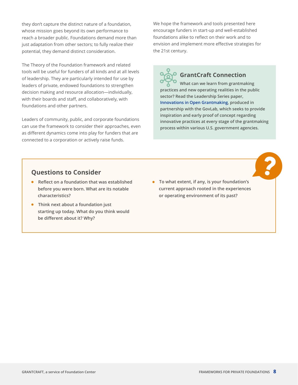they don't capture the distinct nature of a foundation, whose mission goes beyond its own performance to reach a broader public. Foundations demand more than just adaptation from other sectors; to fully realize their potential, they demand distinct consideration.

The Theory of the Foundation framework and related tools will be useful for funders of all kinds and at all levels of leadership. They are particularly intended for use by leaders of private, endowed foundations to strengthen decision making and resource allocation—individually, with their boards and staff, and collaboratively, with foundations and other partners.

Leaders of community, public, and corporate foundations can use the framework to consider their approaches, even as different dynamics come into play for funders that are connected to a corporation or actively raise funds.

We hope the framework and tools presented here encourage funders in start-up and well-established foundations alike to reflect on their work and to envision and implement more effective strategies for the 21st century.

### **GrantCraft Connection**

 **What can we learn from grantmaking practices and new operating realities in the public sector? Read the Leadership Series paper, [Innovations in Open Grantmaking](http://www.grantcraft.org/guides/innovations-in-open-grantmaking), produced in partnership with the GovLab, which seeks to provide inspiration and early proof of concept regarding innovative practices at every stage of the grantmaking process within various U.S. government agencies.**

### **Questions to Consider**

- **•** Reflect on a foundation that was established **before you were born. What are its notable characteristics?**
- <sup>l</sup> **Think next about a foundation just starting up today. What do you think would be different about it? Why?**
- **•** To what extent, if any, is your foundation's **current approach rooted in the experiences or operating environment of its past?**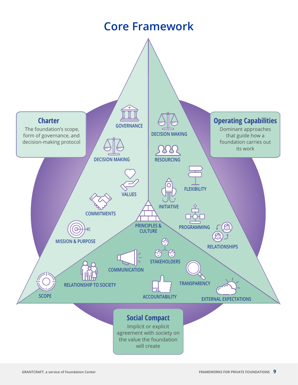### **Core Framework**

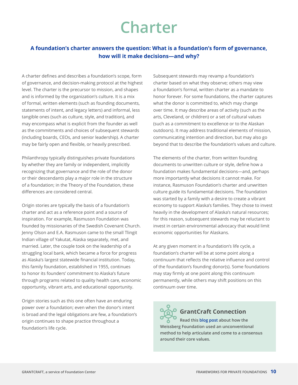## **Charter**

### <span id="page-9-0"></span>**A foundation's charter answers the question: What is a foundation's form of governance, how will it make decisions—and why?**

A charter defines and describes a foundation's scope, form of governance, and decision-making protocol at the highest level. The charter is the precursor to mission, and shapes and is informed by the organization's culture. It is a mix of formal, written elements (such as founding documents, statements of intent, and legacy letters) and informal, less tangible ones (such as culture, style, and tradition), and may encompass what is explicit from the founder as well as the commitments and choices of subsequent stewards (including boards, CEOs, and senior leadership). A charter may be fairly open and flexible, or heavily prescribed.

Philanthropy typically distinguishes private foundations by whether they are family or independent, implicitly recognizing that governance and the role of the donor or their descendants play a major role in the structure of a foundation; in the Theory of the Foundation, these differences are considered central.

Origin stories are typically the basis of a foundation's charter and act as a reference point and a source of inspiration. For example, Rasmuson Foundation was founded by missionaries of the Swedish Covenant Church. Jenny Olson and E.A. Rasmuson came to the small Tlingit Indian village of Yakutat, Alaska separately, met, and married. Later, the couple took on the leadership of a struggling local bank, which became a force for progress as Alaska's largest statewide financial institution. Today, this family foundation, established in 1955, continues to honor its founders' commitment to Alaska's future through programs related to quality health care, economic opportunity, vibrant arts, and educational opportunity.

Origin stories such as this one often have an enduring power over a foundation; even when the donor's intent is broad and the legal obligations are few, a foundation's origin continues to shape practice throughout a foundation's life cycle.

Subsequent stewards may revamp a foundation's charter based on what they observe; others may view a foundation's formal, written charter as a mandate to honor forever. For some foundations, the charter captures what the donor is committed to, which may change over time. It may describe areas of activity (such as the arts, Cleveland, or children) or a set of cultural values (such as a commitment to excellence or to the Alaskan outdoors). It may address traditional elements of mission, communicating intention and direction, but may also go beyond that to describe the foundation's values and culture.

The elements of the charter, from written founding documents to unwritten culture or style, define how a foundation makes fundamental decisions—and, perhaps more importantly what decisions it cannot make. For instance, Rasmuson Foundation's charter and unwritten culture guide its fundamental decisions. The foundation was started by a family with a desire to create a vibrant economy to support Alaska's families. They chose to invest heavily in the development of Alaska's natural resources; for this reason, subsequent stewards may be reluctant to invest in certain environmental advocacy that would limit economic opportunities for Alaskans.

At any given moment in a foundation's life cycle, a foundation's charter will be at some point along a continuum that reflects the relative influence and control of the foundation's founding donor(s). Some foundations may stay firmly at one point along this continuum permanently, while others may shift positions on this continuum over time.

### **GrantCraft Connection**

 **Read this [blog post](http://www.grantcraft.org/blog/a-pop-princess-helped-my-foundation-articulate-our-values) about how the Weissberg Foundation used an unconventional method to help articulate and come to a consensus around their core values.**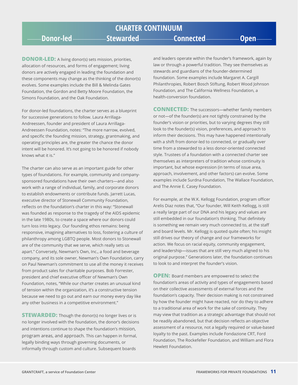### Donor-led **Connected** Connected **Connected CHARTER CONTINUUM**

**DONOR-LED:** A living donor(s) sets mission, priorities, allocation of resources, and forms of engagement; living donors are actively engaged in leading the foundation and these components may change as the thinking of the donor(s) evolves. Some examples include the Bill & Melinda Gates Foundation, the Gordon and Betty Moore Foundation, the Simons Foundation, and the Oak Foundation.

For donor-led foundations, the charter serves as a blueprint for successive generations to follow. Laura Arrillaga-Andreessen, founder and president of Laura Arrillaga-Andreessen Foundation, notes: "The more narrow, evolved, and specific the founding mission, strategy, grantmaking, and operating principles are, the greater the chance the donor intent will be honored. It's not going to be honored if nobody knows what it is."

The charter can also serve as an important guide for other types of foundations. For example, community and companysponsored foundations have their own charters—and also work with a range of individual, family, and corporate donors to establish endowments or contribute funds. Jarrett Lucas, executive director of Stonewall Community Foundation, reflects on the foundation's charter in this way: "Stonewall was founded as response to the tragedy of the AIDS epidemic in the late 1980s, to create a space where our donors could turn loss into legacy. Our founding ethos remains: being responsive, imagining alternatives to loss, fostering a culture of philanthropy among LGBTQ people. Most donors to Stonewall are of the community that we serve, which really sets us apart." Conversely, Newman's Own, Inc., a food and beverage company, and its sole owner, Newman's Own Foundation, carry on Paul Newman's commitment to use all the money it receives from product sales for charitable purposes. Bob Forrester, president and chief executive officer of Newman's Own Foundation, notes, "While our charter creates an unusual kind of tension within the organization, it's a constructive tension because we need to go out and earn our money every day like any other business in a competitive environment."

**STEWARDED:** Though the donor(s) no longer lives or is no longer involved with the foundation, the donor's decisions and intentions continue to shape the foundation's mission, program areas, and approach. This can happen in formal, legally binding ways through governing documents, or informally through custom and culture. Subsequent boards

and leaders operate within the founder's framework, again by law or through a powerful tradition. They see themselves as stewards and guardians of the founder-determined foundation. Some examples include Margaret A. Cargill Philanthropies, Robert Bosch Stiftung, Robert Wood Johnson Foundation, and The California Wellness Foundation, a health-conversion foundation.

**CONNECTED:** The successors—whether family members or not—of the founder(s) are not tightly constrained by the founder's vision or priorities, but to varying degrees they still look to the founder(s) vision, preferences, and approach to inform their decisions. This may have happened intentionally with a shift from donor-led to connected, or gradually over time from a stewarded to a less donor-oriented connected style. Trustees of a foundation with a connected charter see themselves as interpreters of tradition whose continuity is important, but whose expression (in terms of issue area, approach, involvement, and other factors) can evolve. Some examples include Surdna Foundation, The Wallace Foundation, and The Annie E. Casey Foundation.

For example, at the W.K. Kellogg Foundation, program officer Arelis Diaz notes that, "Our founder, Will Keith Kellogg, is still a really large part of our DNA and his legacy and values are still embedded in our foundation's thinking. That definitely is something we remain very much connected to, at the staff and board levels. Mr. Kellogg is quoted quite often; his insight still drives our theory of change and our frameworks for action. We focus on racial equity, community engagement, and leadership—issues that are still very much aligned to his original purpose." Generations later, the foundation continues to look to and interpret the founder's vision.

**OPEN:** Board members are empowered to select the foundation's areas of activity and types of engagements based on their collective assessments of external forces and the foundation's capacity. Their decision making is not constrained by how the founder might have reacted, nor do they to adhere to a traditional area of work for the sake of continuity. They may view that tradition as a strategic advantage that should not be readily abandoned, but that decision reflects an objective assessment of a resource, not a legally required or value-based loyalty to the past. Examples include Fondazione CRT, Ford Foundation, The Rockefeller Foundation, and William and Flora Hewlett Foundation.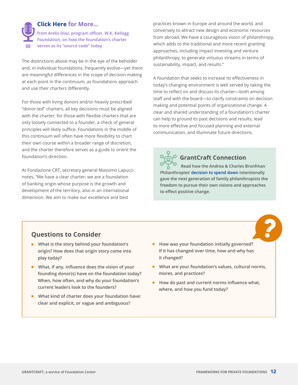### **[Click Here](http://www.grantcraft.org/podcasts/understanding-a-foundations-charter) for More... from Arelis Diaz, program officer, W.K. Kellogg Foundation, on how the foundation's charter serves as its "source code" today.**

The distinctions above may be in the eye of the beholder and, in individual foundations, frequently evolve—yet there are meaningful differences in the scope of decision making at each point in the continuum, as foundations approach and use their charters differently.

For those with living donors and/or heavily prescribed "donor-led" charters, all key decisions must be aligned with the charter; for those with flexible charters that are only loosely connected to a founder, a check of general principles will likely suffice. Foundations in the middle of this continuum will often have more flexibility to chart their own course within a broader range of discretion, and the charter therefore serves as a guide to orient the foundation's direction.

At Fondazione CRT, secretary general Massimo Lapucci notes, "We have a clear charter: we are a foundation of banking origin whose purpose is the growth and development of the territory, also in an international dimension. We aim to make our excellence and best

practices known in Europe and around the world, and conversely to attract new design and economic resources from abroad. We have a courageous vision of philanthropy, which adds to the traditional and more recent granting approaches, including impact investing and venture philanthropy, to generate virtuous streams in terms of sustainability, impact, and results."

A foundation that seeks to increase its effectiveness in today's changing environment is well served by taking the time to reflect on and discuss its charter—both among staff and with the board—to clarify constraints on decision making and potential points of organizational change. A clear and shared understanding of a foundation's charter can help to ground its past decisions and results, lead to more effective and focused planning and external communication, and illuminate future directions.



### **GrantCraft Connection**

 **Read how the Andrea & Charles Bronfman Philanthropies' [decision to spend down](http://www.grantcraft.org/blog/a-generational-transition) intentionally gave the next generation of family philanthropists the freedom to pursue their own visions and approaches to effect positive change.**

### **Questions to Consider**

- <sup>l</sup> **What is the story behind your foundation's origin? How does that origin story come into play today?**
- **•** What, if any, influence does the vision of your **founding donor(s) have on the foundation today? When, how often, and why do your foundation's current leaders look to the founders?**
- **•** What kind of charter does your foundation have: **clear and explicit, or vague and ambiguous?**
- **•** How was your foundation initially governed? **If it has changed over time, how and why has it changed?**
- <sup>l</sup> **What are your foundation's values, cultural norms, mores, and practices?**
- **e** How do past and current norms influence what, **where, and how you fund today?**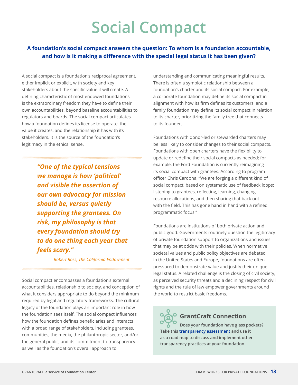## **Social Compact**

### <span id="page-12-0"></span>**A foundation's social compact answers the question: To whom is a foundation accountable, and how is it making a difference with the special legal status it has been given?**

A social compact is a foundation's reciprocal agreement, either implicit or explicit, with society and key stakeholders about the specific value it will create. A defining characteristic of most endowed foundations is the extraordinary freedom they have to define their own accountabilities, beyond baseline accountabilities to regulators and boards. The social compact articulates how a foundation defines its license to operate, the value it creates, and the relationship it has with its stakeholders. It is the source of the foundation's legitimacy in the ethical sense.

> *"One of the typical tensions we manage is how 'political' and visible the assertion of our own advocacy for mission should be, versus quietly supporting the grantees. On risk, my philosophy is that every foundation should try to do one thing each year that feels scary."*

> > *Robert Ross, The California Endowment*

Social compact encompasses a foundation's external accountabilities, relationship to society, and conception of what it considers appropriate to do beyond the minimum required by legal and regulatory frameworks. The cultural legacy of the foundation plays an important role in how the foundation sees itself. The social compact influences how the foundation defines beneficiaries and interacts with a broad range of stakeholders, including grantees, communities, the media, the philanthropic sector, and/or the general public, and its commitment to transparency as well as the foundation's overall approach to

understanding and communicating meaningful results. There is often a symbiotic relationship between a foundation's charter and its social compact. For example, a corporate foundation may define its social compact in alignment with how its firm defines its customers, and a family foundation may define its social compact in relation to its charter, prioritizing the family tree that connects to its founder.

Foundations with donor-led or stewarded charters may be less likely to consider changes to their social compacts. Foundations with open charters have the flexibility to update or redefine their social compacts as needed; for example, the Ford Foundation is currently reimagining its social compact with grantees. According to program officer Chris Cardona, "We are forging a different kind of social compact, based on systematic use of feedback loops: listening to grantees, reflecting, learning, changing resource allocations, and then sharing that back out with the field. This has gone hand in hand with a refined programmatic focus."

Foundations are institutions of both private action and public good. Governments routinely question the legitimacy of private foundation support to organizations and issues that may be at odds with their policies. When normative societal values and public policy objectives are debated in the United States and Europe, foundations are often pressured to demonstrate value and justify their unique legal status. A related challenge is the closing of civil society, as perceived security threats and a declining respect for civil rights and the rule of law empower governments around the world to restrict basic freedoms.

 **GrantCraft Connection**

 **Does your foundation have glass pockets? Take [this transparency assessment](http://www.grantcraft.org/tools/who-has-glass-pockets) and use it as a road map to discuss and implement other transparency practices at your foundation.**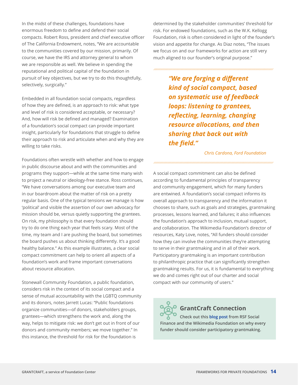In the midst of these challenges, foundations have enormous freedom to define and defend their social compacts. Robert Ross, president and chief executive officer of The California Endowment, notes, "We are accountable to the communities covered by our mission, primarily. Of course, we have the IRS and attorney general to whom we are responsible as well. We believe in spending the reputational and political capital of the foundation in pursuit of key objectives, but we try to do this thoughtfully, selectively, surgically."

Embedded in all foundation social compacts, regardless of how they are defined, is an approach to risk: what type and level of risk is considered acceptable, or necessary? And, how will risk be defined and managed? Examination of a foundation's social compact can provide important insight, particularly for foundations that struggle to define their approach to risk and articulate when and why they are willing to take risks.

Foundations often wrestle with whether and how to engage in public discourse about and with the communities and programs they support—while at the same time many wish to project a neutral or ideology-free stance. Ross continues, "We have conversations among our executive team and in our boardroom about the matter of risk on a pretty regular basis. One of the typical tensions we manage is how 'political' and visible the assertion of our own advocacy for mission should be, versus quietly supporting the grantees. On risk, my philosophy is that every foundation should try to do one thing each year that feels scary. Most of the time, my team and I are pushing the board, but sometimes the board pushes us about thinking differently. It's a good healthy balance." As this example illustrates, a clear social compact commitment can help to orient all aspects of a foundation's work and frame important conversations about resource allocation.

Stonewall Community Foundation, a public foundation, considers risk in the context of its social compact and a sense of mutual accountability with the LGBTQ community and its donors, notes Jarrett Lucas: "Public foundations organize communities—of donors, stakeholders groups, grantees—which strengthens the work and, along the way, helps to mitigate risk: we don't get out in front of our donors and community members; we move together." In this instance, the threshold for risk for the foundation is

determined by the stakeholder communities' threshold for risk. For endowed foundations, such as the W.K. Kellogg Foundation, risk is often considered in light of the founder's vision and appetite for change. As Diaz notes, "The issues we focus on and our frameworks for action are still very much aligned to our founder's original purpose."

> *"We are forging a different kind of social compact, based on systematic use of feedback loops: listening to grantees, reflecting, learning, changing resource allocations, and then sharing that back out with the field."*

> > *Chris Cardona, Ford Foundation*

A social compact commitment can also be defined according to fundamental principles of transparency and community engagement, which for many funders are entwined. A foundation's social compact informs its overall approach to transparency and the information it chooses to share, such as goals and strategies, grantmaking processes, lessons learned, and failures; it also influences the foundation's approach to inclusion, mutual support, and collaboration. The Wikimedia Foundation's director of resources, Katy Love, notes, "All funders should consider how they can involve the communities they're attempting to serve in their grantmaking and in all of their work. Participatory grantmaking is an important contribution to philanthropic practice that can significantly strengthen grantmaking results. For us, it is fundamental to everything we do and comes right out of our charter and social compact with our community of users."

 **GrantCraft Connection**

 **Check out [this blog post](http://www.grantcraft.org/blog/why-every-funder-should-consider-participatory-grantmaking) from RSF Social Finance and the Wikimedia Foundation on why every funder should consider participatory grantmaking.**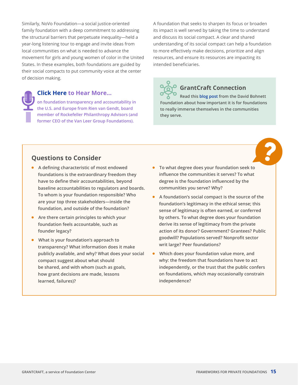Similarly, NoVo Foundation—a social justice-oriented family foundation with a deep commitment to addressing the structural barriers that perpetuate inequality—held a year-long listening tour to engage and invite ideas from local communities on what is needed to advance the movement for girls and young women of color in the United States. In these examples, both foundations are guided by their social compacts to put community voice at the center of decision making.

### **[Click Here](http://www.grantcraft.org/podcasts/understanding-a-foundations-social-compact) to Hear More...**

**on foundation transparency and accountability in the U.S. and Europe from Rien van Gendt, board member of Rockefeller Philanthropy Advisors (and former CEO of the Van Leer Group Foundations).** 

A foundation that seeks to sharpen its focus or broaden its impact is well served by taking the time to understand and discuss its social compact. A clear and shared understanding of its social compact can help a foundation to more effectively make decisions, prioritize and align resources, and ensure its resources are impacting its intended beneficiaries.

### **GrantCraft Connection**

 **Read [this blog post](http://www.grantcraft.org/blog/the-out-in-ohio-immersion-increasing-social-capital-and-grantee-inclusion) from the David Bohnett Foundation about how important it is for foundations to really immerse themselves in the communities they serve.** 

### **Questions to Consider**

- <sup>l</sup> **A defining characteristic of most endowed foundations is the extraordinary freedom they have to define their accountabilities, beyond baseline accountabilities to regulators and boards. To whom is your foundation responsible? Who are your top three stakeholders—inside the foundation, and outside of the foundation?**
- **•** Are there certain principles to which your **foundation feels accountable, such as founder legacy?**
- <sup>l</sup> **What is your foundation's approach to transparency? What information does it make publicly available, and why? What does your social compact suggest about what should be shared, and with whom (such as goals, how grant decisions are made, lessons learned, failures)?**
- <sup>l</sup> **To what degree does your foundation seek to influence the communities it serves? To what degree is the foundation influenced by the communities you serve? Why?**
- **•** A foundation's social compact is the source of the **foundation's legitimacy in the ethical sense; this sense of legitimacy is often earned, or conferred by others. To what degree does your foundation derive its sense of legitimacy from the private action of its donor? Government? Grantees? Public goodwill? Populations served? Nonprofit sector writ large? Peer foundations?**
- <sup>l</sup> **Which does your foundation value more, and why: the freedom that foundations have to act independently, or the trust that the public confers on foundations, which may occasionally constrain independence?**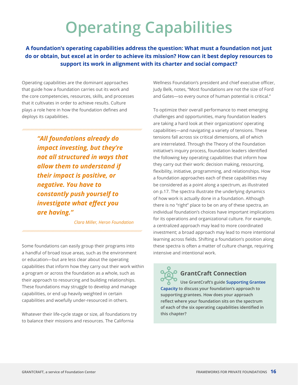## **Operating Capabilities**

<span id="page-15-0"></span>**A foundation's operating capabilities address the question: What must a foundation not just do or obtain, but excel at in order to achieve its mission? How can it best deploy resources to support its work in alignment with its charter and social compact?** 

Operating capabilities are the dominant approaches that guide how a foundation carries out its work and the core competencies, resources, skills, and processes that it cultivates in order to achieve results. Culture plays a role here in how the foundation defines and deploys its capabilities.

> *"All foundations already do impact investing, but they're not all structured in ways that allow them to understand if their impact is positive, or negative. You have to constantly push yourself to investigate what effect you are having."*

> > *Clara Miller, Heron Foundation*

Some foundations can easily group their programs into a handful of broad issue areas, such as the environment or education—but are less clear about the operating capabilities that inform how they carry out their work within a program or across the foundation as a whole, such as their approach to resourcing and building relationships. These foundations may struggle to develop and manage capabilities, or end up heavily weighted in certain capabilities and woefully under-resourced in others.

Whatever their life-cycle stage or size, all foundations try to balance their missions and resources. The California

Wellness Foundation's president and chief executive officer, Judy Belk, notes, "Most foundations are not the size of Ford and Gates—so every ounce of human potential is critical."

To optimize their overall performance to meet emerging challenges and opportunities, many foundation leaders are taking a hard look at their organizations' operating capabilities—and navigating a variety of tensions. These tensions fall across six critical dimensions, all of which are interrelated. Through the Theory of the Foundation initiative's inquiry process, foundation leaders identified the following key operating capabilities that inform how they carry out their work: decision making, resourcing, flexibility, initiative, programming, and relationships. How a foundation approaches each of these capabilities may be considered as a point along a spectrum, as illustrated on p.17. The spectra illustrate the underlying dynamics of how work is actually done in a foundation. Although there is no "right" place to be on any of these spectra, an individual foundation's choices have important implications for its operations and organizational culture. For example, a centralized approach may lead to more coordinated investment; a broad approach may lead to more intentional learning across fields. Shifting a foundation's position along these spectra is often a matter of culture change, requiring intensive and intentional work.

### **GrantCraft Connection**

 **Use GrantCraft's guide [Supporting Grantee](http://www.grantcraft.org/guides/supporting-grantee-capacity)  [Capacity](http://www.grantcraft.org/guides/supporting-grantee-capacity) to discuss your foundation's approach to supporting grantees. How does your approach reflect where your foundation sits on the spectrum of each of the six operating capabilities identified in this chapter?**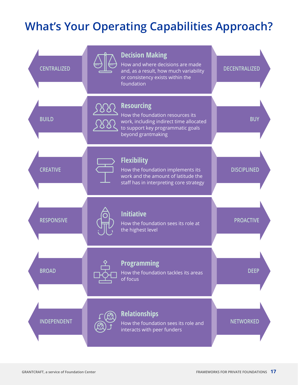### **What's Your Operating Capabilities Approach?**

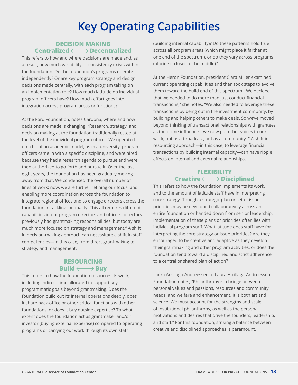### **Key Operating Capabilities**

### **DECISION MAKING Centralized**  $\longleftrightarrow$  **Decentralized**

This refers to how and where decisions are made and, as a result, how much variability or consistency exists within the foundation. Do the foundation's programs operate independently? Or are key program strategy and design decisions made centrally, with each program taking on an implementation role? How much latitude do individual program officers have? How much effort goes into integration across program areas or functions?

At the Ford Foundation, notes Cardona, where and how decisions are made is changing. "Research, strategy, and decision making at the foundation traditionally rested at the level of the individual program officer. We operated on a bit of an academic model; as in a university, program officers came in with a specific discipline, and were hired because they had a research agenda to pursue and were then authorized to go forth and pursue it. Over the last eight years, the foundation has been gradually moving away from that. We condensed the overall number of lines of work; now, we are further refining our focus, and enabling more coordination across the foundation to integrate regional offices and to engage directors across the foundation in tackling inequality. This all requires different capabilities in our program directors and officers; directors previously had grantmaking responsibilities, but today are much more focused on strategy and management." A shift in decision-making approach can necessitate a shift in staff competencies—in this case, from direct grantmaking to strategy and management.

### **RESOURCING Build**  $\longleftrightarrow$  **Buy**

This refers to how the foundation resources its work, including indirect time allocated to support key programmatic goals beyond grantmaking. Does the foundation build out its internal operations deeply, does it share back-office or other critical functions with other foundations, or does it buy outside expertise? To what extent does the foundation act as grantmaker and/or investor (buying external expertise) compared to operating programs or carrying out work through its own staff

(building internal capability)? Do these patterns hold true across all program areas (which might place it farther at one end of the spectrum), or do they vary across programs (placing it closer to the middle)?

At the Heron Foundation, president Clara Miller examined current operating capabilities and then took steps to evolve them toward the build end of this spectrum. "We decided that we needed to do more than just conduct financial transactions," she notes. "We also needed to leverage these transactions by being out in the investment community, by building and helping others to make deals. So we've moved beyond thinking of transactional relationships with grantees as the prime influence—we now put other voices to our work, not as a broadcast, but as a community. " A shift in resourcing approach—in this case, to leverage financial transactions by building internal capacity—can have ripple effects on internal and external relationships.

### **FLEXIBILITY Creative**  $\longleftrightarrow$  **Disciplined**

This refers to how the foundation implements its work, and to the amount of latitude staff have in interpreting core strategy. Though a strategic plan or set of issue priorities may be developed collaboratively across an entire foundation or handed down from senior leadership, implementation of these plans or priorities often lies with individual program staff. What latitude does staff have for interpreting the core strategy or issue priorities? Are they encouraged to be creative and adaptive as they develop their grantmaking and other program activities, or does the foundation tend toward a disciplined and strict adherence to a central or shared plan of action?

Laura Arrillaga-Andreessen of Laura Arrillaga-Andreessen Foundation notes, "Philanthropy is a bridge between personal values and passions, resources and community needs, and welfare and enhancement. It is both art and science. We must account for the strengths and scale of institutional philanthropy, as well as the personal motivations and desires that drive the founders, leadership, and staff." For this foundation, striking a balance between creative and disciplined approaches is paramount.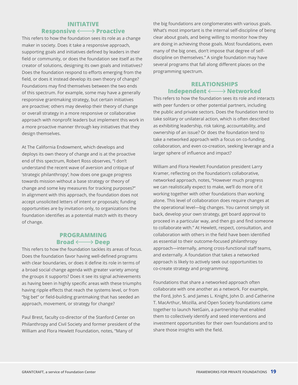### **INITIATIVE Responsive**  $\longleftrightarrow$  **Proactive**

This refers to how the foundation sees its role as a change maker in society. Does it take a responsive approach, supporting goals and initiatives defined by leaders in their field or community, or does the foundation see itself as the creator of solutions, designing its own goals and initiatives? Does the foundation respond to efforts emerging from the field, or does it instead develop its own theory of change? Foundations may find themselves between the two ends of this spectrum. For example, some may have a generally responsive grantmaking strategy, but certain initiatives are proactive; others may develop their theory of change or overall strategy in a more responsive or collaborative approach with nonprofit leaders but implement this work in a more proactive manner through key initiatives that they design themselves.

At The California Endowment, which develops and deploys its own theory of change and is at the proactive end of this spectrum, Robert Ross observes, "I don't understand the recent wave of aversion and critique of 'strategic philanthropy'; how does one gauge progress towards mission without a base strategy or theory of change and some key measures for tracking purposes?" In alignment with this approach, the foundation does not accept unsolicited letters of intent or proposals; funding opportunities are by invitation only, to organizations the foundation identifies as a potential match with its theory of change.

### **PROGRAMMING Broad**  $\longleftrightarrow$  **Deep**

This refers to how the foundation tackles its areas of focus. Does the foundation favor having well-defined programs with clear boundaries, or does it define its role in terms of a broad social change agenda with greater variety among the groups it supports? Does it see its signal achievements as having been in highly specific areas with these triumphs having ripple effects that reach the systems level, or from "big bet" or field-building grantmaking that has seeded an approach, movement, or strategy for change?

Paul Brest, faculty co-director of the Stanford Center on Philanthropy and Civil Society and former president of the William and Flora Hewlett Foundation, notes, "Many of

the big foundations are conglomerates with various goals. What's most important is the internal self-discipline of being clear about goals, and being willing to monitor how they are doing in achieving those goals. Most foundations, even many of the big ones, don't impose that degree of selfdiscipline on themselves." A single foundation may have several programs that fall along different places on the programming spectrum.

### **RELATIONSHIPS** Independent  $\longleftrightarrow$  Networked

This refers to how the foundation sees its role and interacts with peer funders or other potential partners, including the public and private sectors. Does the foundation tend to take solitary or unilateral action, which is often described as exhibiting leadership, risk taking, accountability, and ownership of an issue? Or does the foundation tend to take a networked approach with a focus on co-funding, collaboration, and even co-creation, seeking leverage and a larger sphere of influence and impact?

William and Flora Hewlett Foundation president Larry Kramer, reflecting on the foundation's collaborative, networked approach, notes, "However much progress we can realistically expect to make, we'll do more of it working together with other foundations than working alone. This level of collaboration does require changes at the operational level—big changes. You cannot simply sit back, develop your own strategy, get board approval to proceed in a particular way, and then go and find someone to collaborate with." At Hewlett, respect, consultation, and collaboration with others in the field have been identified as essential to their outcome-focused philanthropy approach—internally, among cross-functional staff teams, and externally. A foundation that takes a networked approach is likely to actively seek out opportunities to co-create strategy and programming.

Foundations that share a networked approach often collaborate with one another as a network. For example, the Ford, John S. and James L. Knight, John D. and Catherine T. MacArthur, Mozilla, and Open Society foundations came together to launch NetGain, a partnership that enabled them to collectively identify and seed interventions and investment opportunities for their own foundations and to share those insights with the field.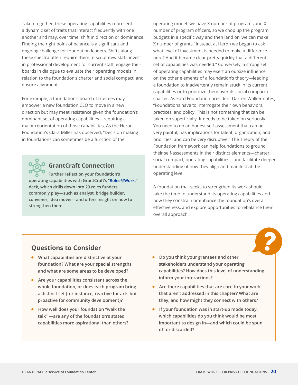Taken together, these operating capabilities represent a dynamic set of traits that interact frequently with one another and may, over time, shift in direction or dominance. Finding the right point of balance is a significant and ongoing challenge for foundation leaders. Shifts along these spectra often require them to scout new staff, invest in professional development for current staff, engage their boards in dialogue to evaluate their operating models in relation to the foundation's charter and social compact, and ensure alignment.

For example, a foundation's board of trustees may empower a new foundation CEO to move in a new direction but may meet resistance given the foundation's dominant set of operating capabilities—requiring a major reorientation of those capabilities. As the Heron Foundation's Clara Miller has observed, "Decision making in foundations can sometimes be a function of the



### **GrantCraft Connection**

 **Further reflect on your foundation's operating capabilities with GrantCraft's ["Roles@Work,](http://www.grantcraft.org/tools/roles-at-work)" deck, which drills down into 29 roles funders commonly play—such as analyst, bridge builder, convener, idea mover—and offers insight on how to strengthen them.**

operating model: we have X number of programs and X number of program officers, so we chop up the program budgets in a specific way and then land on 'we can make X number of grants.' Instead, at Heron we began to ask what level of investment is needed to make a difference here? And it became clear pretty quickly that a different set of capabilities was needed." Conversely, a strong set of operating capabilities may exert an outsize influence on the other elements of a foundation's theory—leading a foundation to inadvertently remain stuck in its current capabilities or to prioritize them over its social compact or charter. As Ford Foundation president Darren Walker notes, "Foundations have to interrogate their own behaviors, practices, and policy. This is not something that can be taken on superficially. It needs to be taken on seriously. You need to do an honest self-assessment that can be very painful; has implications for talent, organization, and priorities; and can be very disruptive." The Theory of the Foundation framework can help foundations to ground their self-assessments in their distinct elements—charter, social compact, operating capabilities—and facilitate deeper understanding of how they align and manifest at the operating level.

A foundation that seeks to strengthen its work should take the time to understand its operating capabilities and how they constrain or enhance the foundation's overall effectiveness, and explore opportunities to rebalance their overall approach.

### **Questions to Consider**

- <sup>l</sup> **What capabilities are distinctive at your foundation? What are your special strengths and what are some areas to be developed?**
- **•** Are your capabilities consistent across the **whole foundation, or does each program bring a distinct set (for instance, reactive for arts but proactive for community development)?**
- <sup>l</sup> **How well does your foundation "walk the talk" —are any of the foundation's stated capabilities more aspirational than others?**
- <sup>l</sup> **Do you think your grantees and other stakeholders understand your operating capabilities? How does this level of understanding inform your interactions?**
- **•** Are there capabilities that are core to your work **that aren't addressed in this chapter? What are they, and how might they connect with others?**
- **.** If your foundation was in start-up mode today, **which capabilities do you think would be most important to design in—and which could be spun off or discarded?**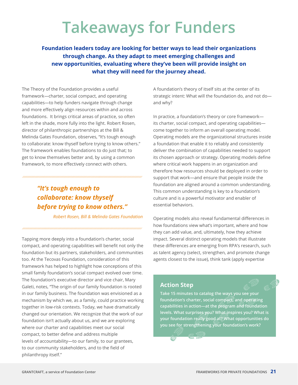## **Takeaways for Funders**

<span id="page-20-0"></span>**Foundation leaders today are looking for better ways to lead their organizations through change. As they adapt to meet emerging challenges and new opportunities, evaluating where they've been will provide insight on what they will need for the journey ahead.** 

The Theory of the Foundation provides a useful framework—charter, social compact, and operating capabilities—to help funders navigate through change and more effectively align resources within and across foundations. It brings critical areas of practice, so often left in the shade, more fully into the light. Robert Rosen, director of philanthropic partnerships at the Bill & Melinda Gates Foundation, observes, "It's tough enough to collaborate: know thyself before trying to know others." The framework enables foundations to do just that; to get to know themselves better and, by using a common framework, to more effectively connect with others.

### *"It's tough enough to collaborate: know thyself before trying to know others."*

 *Robert Rosen, Bill & Melinda Gates Foundation*

Tapping more deeply into a foundation's charter, social compact, and operating capabilities will benefit not only the foundation but its partners, stakeholders, and communities too. At the Tecovas Foundation, consideration of this framework has helped to highlight how conceptions of this small family foundation's social compact evolved over time. The foundation's executive director and vice chair, Mary Galeti, notes, "The origin of our family foundation is rooted in our family business. The foundation was envisioned as a mechanism by which we, as a family, could practice working together in low-risk contexts. Today, we have dramatically changed our orientation. We recognize that the work of our foundation isn't actually about us, and we are exploring where our charter and capabilities meet our social compact, to better define and address multiple levels of accountability—to our family, to our grantees, to our community stakeholders, and to the field of philanthropy itself."

A foundation's theory of itself sits at the center of its strategic intent: What will the foundation do, and not do and why?

In practice, a foundation's theory or core framework its charter, social compact, and operating capabilities come together to inform an overall operating model. Operating models are the organizational structures inside a foundation that enable it to reliably and consistently deliver the combination of capabilities needed to support its chosen approach or strategy. Operating models define where critical work happens in an organization and therefore how resources should be deployed in order to support that work—and ensure that people inside the foundation are aligned around a common understanding. This common understanding is key to a foundation's culture and is a powerful motivator and enabler of essential behaviors.

Operating models also reveal fundamental differences in how foundations view what's important, where and how they can add value, and, ultimately, how they achieve impact. Several distinct operating models that illustrate these differences are emerging from RPA's research, such as talent agency (select, strengthen, and promote change agents closest to the issue), think tank (apply expertise

### **Action Step**

**Take 15 minutes to catalog the ways you see your foundation's charter, social compact, and operating capabilities in action—at the program and foundation levels. What surprises you? What inspires you? What is your foundation really good at? What opportunities do you see for strengthening your foundation's work?**

Д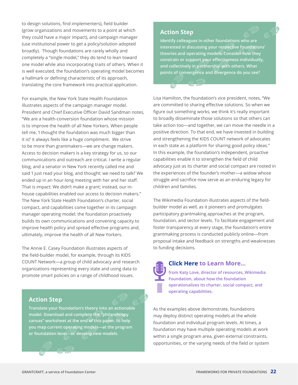to design solutions, find implementers), field builder (grow organizations and movements to a point at which they could have a major impact), and campaign manager (use institutional power to get a policy/solution adopted broadly). Though foundations are rarely wholly and completely a "single model," they do tend to lean toward one model while also incorporating traits of others. When it is well executed, the foundation's operating model becomes a hallmark or defining characteristic of its approach, translating the core framework into practical application.

For example, the New York State Health Foundation illustrates aspects of the campaign manager model. President and Chief Executive Officer David Sandman notes, "We are a health-conversion foundation whose mission is to improve the health of all New Yorkers. When people tell me, 'I thought the foundation was much bigger than it is!' it always feels like a huge compliment. We strive to be more than grantmakers—we are change makers. Access to decision makers is a key strategy for us, so our communications and outreach are critical. I write a regular blog, and a senator in New York recently called me and said 'I just read your blog, and thought: we need to talk!' We ended up in an hour-long meeting with her and her staff. That is impact: We didn't make a grant; instead, our inhouse capabilities enabled our access to decision makers." The New York State Health Foundation's charter, social compact, and capabilities come together in its campaign manager operating model: the foundation proactively builds its own communications and convening capacity to improve health policy and spread effective programs and, ultimately, improve the health of all New Yorkers.

The Annie E. Casey Foundation illustrates aspects of the field-builder model, for example, through its KIDS COUNT Network—a group of child advocacy and research organizations representing every state and using data to promote smart policies on a range of childhood issues.

### **Action Step**

**Translate your foundation's theory into an actionable model. Download and complete the "philanthropy canvas" worksheet at the end of this paper, to help you map current operating models—at the program or foundation level—or develop new models.**

5

### **Action Step**

**Identify colleagues in other foundations who are interested in discussing your respective foundations' theories and operating models. Consider how they constrain or support your effectiveness individually, and collectively in partnership with others. What points of convergence and divergence do you see?**

Lisa Hamilton, the foundation's vice president, notes, "We are committed to sharing effective solutions. So when we figure out something works, we think it's really important to broadly disseminate those solutions so that others can take action too—and together, we can move the needle in a positive direction. To that end, we have invested in building and strengthening the KIDS COUNT network of advocates in each state as a platform for sharing good policy ideas." In this example, the foundation's independent, proactive capabilities enable it to strengthen the field of child advocacy just as its charter and social compact are rooted in the experiences of the founder's mother—a widow whose struggle and sacrifice now serve as an enduring legacy for children and families.

The Wikimedia Foundation illustrates aspects of the fieldbuilder model as well, as it pioneers and promulgates participatory grantmaking approaches at the program, foundation, and sector levels. To facilitate engagement and foster transparency at every stage, the foundation's entire grantmaking process is conducted publicly online—from proposal intake and feedback on strengths and weaknesses to funding decisions.

**[Click Here](http://www.grantcraft.org/podcasts/understanding-a-foundations-operating-capabilities) to Learn More... from Katy Love, director of resources, Wikimedia Foundation, about how the foundation operationalizes its charter, social compact, and operating capabilities.** 

As the examples above demonstrate, foundations may deploy distinct operating models at the whole foundation and individual program levels. At times, a foundation may have multiple operating models at work within a single program area, given external constraints, opportunities, or the varying needs of the field or system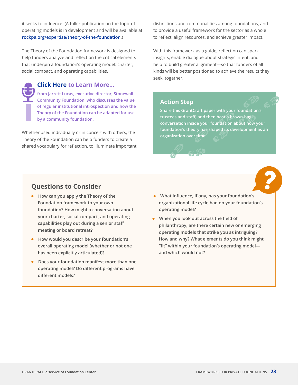it seeks to influence. (A fuller publication on the topic of operating models is in development and will be available at **[rockpa.org/expertise/theory-of-the-foundation](http://www.rockpa.org/expertise/theory-of-the-foundation)**.)

The Theory of the Foundation framework is designed to help funders analyze and reflect on the critical elements that underpin a foundation's operating model: charter, social compact, and operating capabilities.

### **[Click Here](http://www.grantcraft.org/podcasts/the-value-of-a-theory-of-the-foundation) to Learn More...**

**from Jarrett Lucas, executive director, Stonewall Community Foundation, who discusses the value of regular institutional introspection and how the Theory of the Foundation can be adapted for use by a community foundation.** 

Whether used individually or in concert with others, the Theory of the Foundation can help funders to create a shared vocabulary for reflection, to illuminate important distinctions and commonalities among foundations, and to provide a useful framework for the sector as a whole to reflect, align resources, and achieve greater impact.

With this framework as a guide, reflection can spark insights, enable dialogue about strategic intent, and help to build greater alignment—so that funders of all kinds will be better positioned to achieve the results they seek, together.

### **Action Step**

**Share this GrantCraft paper with your foundation's trustees and staff, and then host a brown-bag conversation inside your foundation about how your foundation's theory has shaped its development as an organization over time.** 

### **Questions to Consider**

- **How can you apply the Theory of the Foundation framework to your own foundation? How might a conversation about your charter, social compact, and operating capabilities play out during a senior staff meeting or board retreat?**
- **•** How would you describe your foundation's **overall operating model (whether or not one has been explicitly articulated)?**
- **•** Does your foundation manifest more than one **operating model? Do different programs have different models?**
- <sup>l</sup> **What influence, if any, has your foundation's organizational life cycle had on your foundation's operating model?**
- <sup>l</sup> **When you look out across the field of philanthropy, are there certain new or emerging operating models that strike you as intriguing? How and why? What elements do you think might "fit" within your foundation's operating model and which would not?**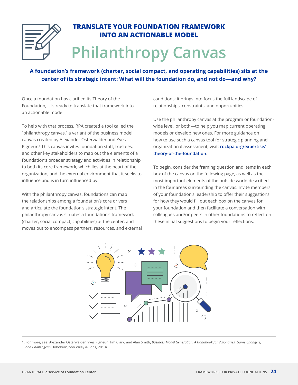<span id="page-23-0"></span>

### **TRANSLATE YOUR FOUNDATION FRAMEWORK INTO AN ACTIONABLE MODEL**

## **Philanthropy Canvas**

**A foundation's framework (charter, social compact, and operating capabilities) sits at the center of its strategic intent: What will the foundation do, and not do—and why?** 

Once a foundation has clarified its Theory of the Foundation, it is ready to translate that framework into an actionable model.

To help with that process, RPA created a tool called the "philanthropy canvas," a variant of the business model canvas created by Alexander Osterwalder and Yves Pigneur.<sup>1</sup> This canvas invites foundation staff, trustees, and other key stakeholders to map out the elements of a foundation's broader strategy and activities in relationship to both its core framework, which lies at the heart of the organization, and the external environment that it seeks to influence and is in turn influenced by.

With the philanthropy canvas, foundations can map the relationships among a foundation's core drivers and articulate the foundation's strategic intent. The philanthropy canvas situates a foundation's framework (charter, social compact, capabilities) at the center, and moves out to encompass partners, resources, and external conditions; it brings into focus the full landscape of relationships, constraints, and opportunities.

Use the philanthropy canvas at the program or foundationwide level, or both—to help you map current operating models or develop new ones. For more guidance on how to use such a canvas tool for strategic planning and organizational assessment, visit: **[rockpa.org/expertise/](http://rockpa.org/expertise/theory-of-the-foundation) [theory-of-the-foundation](http://rockpa.org/expertise/theory-of-the-foundation)**.

To begin, consider the framing question and items in each box of the canvas on the following page, as well as the most important elements of the outside world described in the four areas surrounding the canvas. Invite members of your foundation's leadership to offer their suggestions for how they would fill out each box on the canvas for your foundation and then facilitate a conversation with colleagues and/or peers in other foundations to reflect on these initial suggestions to begin your reflections.



1. For more, see: Alexander Osterwalder, Yves Pigneur, Tim Clark, and Alan Smith, *Business Model Generation: A Handbook for Visionaries, Game Changers, and Challengers* (Hoboken: John Wiley & Sons, 2010).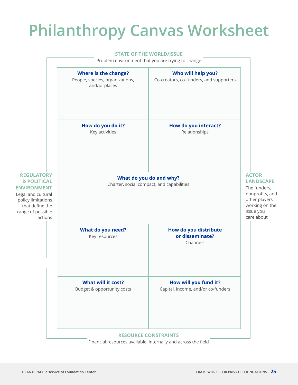## **Philanthropy Canvas Worksheet**

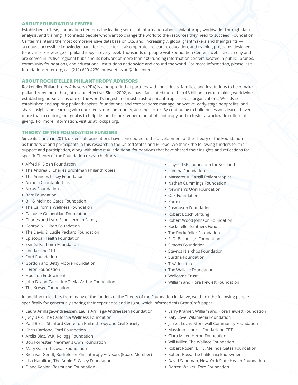#### **ABOUT FOUNDATION CENTER**

Established in 1956, Foundation Center is the leading source of information about philanthropy worldwide. Through data, analysis, and training, it connects people who want to change the world to the resources they need to succeed. Foundation Center maintains the most comprehensive database on U.S. and, increasingly, global grantmakers and their grants a robust, accessible knowledge bank for the sector. It also operates research, education, and training programs designed to advance knowledge of philanthropy at every level. Thousands of people visit Foundation Center's website each day and are served in its five regional hubs and its network of more than 400 funding information centers located in public libraries, community foundations, and educational institutions nationwide and around the world. For more information, please visit foundationcenter.org, call (212) 620-4230, or tweet us at @fdncenter.

#### **ABOUT ROCKEFELLER PHILANTHROPY ADVISORS**

Rockefeller Philanthropy Advisors (RPA) is a nonprofit that partners with individuals, families, and institutions to help make philanthropy more thoughtful and effective. Since 2002, we have facilitated more than \$3 billion in grantmaking worldwide, establishing ourselves as one of the world's largest and most trusted philanthropic service organizations. We advise established and aspiring philanthropists, foundations, and corporations; manage innovative, early-stage nonprofits; and share insight and learning with our clients, our community, and the sector. By continuing to build on lessons learned over more than a century, our goal is to help define the next generation of philanthropy and to foster a worldwide culture of giving. For more information, visit us at rockpa.org.

#### **THEORY OF THE FOUNDATION FUNDERS**

Since its launch in 2014, dozens of foundations have contributed to the development of the Theory of the Foundation as funders of and participants in this research in the United States and Europe. We thank the following funders for their support and participation, along with almost 40 additional foundations that have shared their insights and reflections for specific Theory of the Foundation research efforts.

- **•** Alfred P. Sloan Foundation
- **•** The Andrea & Charles Bronfman Philanthropies
- **•** The Annie E. Casey Foundation
- **•** Arcadia Charitable Trust
- **•** Arcus Foundation
- **•** Barr Foundation
- **•** Bill & Melinda Gates Foundation
- **•** The California Wellness Foundation
- **•** Calouste Gulbenkian Foundation
- **•** Charles and Lynn Schusterman Family
- **•** Conrad N. Hilton Foundation
- **•** The David & Lucile Packard Foundation
- **•** Episcopal Health Foundation
- **•** Esmée Fairbairn Foundation
- **•** Fondazione CRT
- **•** Ford Foundation
- **•** Gordon and Betty Moore Foundation
- **•** Heron Foundation
- **•** Houston Endowment
- **•** John D. and Catherine T. MacArthur Foundation
- **•** The Kresge Foundation
- **•** Lloyds TSB Foundation for Scotland
- **•** Lumina Foundation
- **•** Margaret A. Cargill Philanthropies
- **•** Nathan Cummings Foundation
- **•** Newman's Own Foundation
- **•** Oak Foundation
- **•** Porticus
- **•** Rasmuson Foundation
- **•** Robert Bosch Stiftung
- **•** Robert Wood Johnson Foundation
- **•** Rockefeller Brothers Fund
- **•** The Rockefeller Foundation
- **•** S. D. Bechtel, Jr. Foundation
- **•** Simons Foundation
- **•** Stavros Niarchos Foundation
- **•** Surdna Foundation
- **•** TIAA Institute
- **•** The Wallace Foundation
- **•** Wellcome Trust
- **•** William and Flora Hewlett Foundation

In addition to leaders from many of the funders of the Theory of the Foundation initiative, we thank the following people specifically for generously sharing their experience and insight, which informed this GrantCraft paper:

- **•** Laura Arrillaga-Andreessen, Laura Arrillaga-Andreessen Foundation
- **•** Judy Belk, The California Wellness Foundation
- **•** Paul Brest, Stanford Center on Philanthropy and Civil Society
- **•** Chris Cardona, Ford Foundation
- **•** Arelis Diaz, W.K. Kellogg Foundation
- **•** Bob Forrester, Newman's Own Foundation
- **•** Mary Galeti, Tecovas Foundation
- **•** Rien van Gendt, Rockefeller Philanthropy Advisors (Board Member)
- **•** Lisa Hamilton, The Annie E. Casey Foundation
- **•** Diane Kaplan, Rasmuson Foundation
- **•** Larry Kramer, William and Flora Hewlett Foundation
- **•** Katy Love, Wikimedia Foundation
- **•** Jarrett Lucas, Stonewall Community Foundation
- **•** Massimo Lapucci, Fondazione CRT
- **•** Clara Miller, Heron Foundation
- **•** Will Miller, The Wallace Foundation
- **•** Robert Rosen, Bill & Melinda Gates Foundation
- **•** Robert Ross, The California Endowment
- **•** David Sandman, New York State Health Foundation
- **•** Darren Walker, Ford Foundation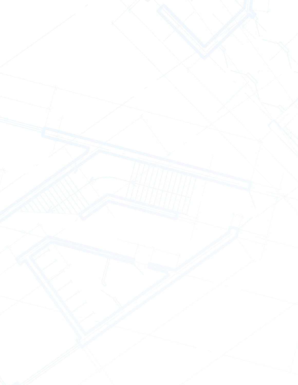